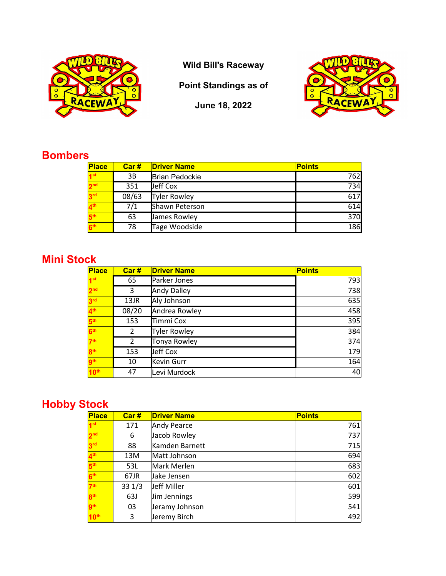

**Wild Bill's Raceway**

**Point Standings as of**

**June 18, 2022**



### **Bombers**

| <b>Place</b>    | Car#  | <b>Driver Name</b>    | <b>Points</b> |
|-----------------|-------|-----------------------|---------------|
| 1 <sup>st</sup> | 3B    | <b>Brian Pedockie</b> | 762I          |
| 2 <sup>nd</sup> | 351   | Jeff Cox              | 734           |
| 3 <sup>rd</sup> | 08/63 | <b>Tyler Rowley</b>   | 617           |
| 4 <sup>th</sup> | 7/1   | Shawn Peterson        | 614           |
| 5 <sup>th</sup> | 63    | James Rowley          | 370           |
| 6 <sup>th</sup> | 78    | Tage Woodside         | 186           |

#### **Mini Stock**

| <b>Place</b>    | Car#  | <b>Driver Name</b>  | <b>Points</b> |
|-----------------|-------|---------------------|---------------|
| 1 <sup>st</sup> | 65    | Parker Jones        | 793           |
| 2 <sup>nd</sup> | 3     | <b>Andy Dalley</b>  | 738           |
| 3rd             | 13JR  | Aly Johnson         | 635           |
| 4 <sup>th</sup> | 08/20 | Andrea Rowley       | 458           |
| 5 <sup>th</sup> | 153   | Timmi Cox           | 395           |
| 6 <sup>th</sup> | 2     | <b>Tyler Rowley</b> | 384           |
| 7 <sup>th</sup> | 2     | <b>Tonya Rowley</b> | 374           |
| 8 <sup>th</sup> | 153   | <b>Jeff Cox</b>     | 179           |
| <b>gth</b>      | 10    | <b>Kevin Gurr</b>   | 164           |
| 10th            | 47    | Levi Murdock        | 40            |

## **Hobby Stock**

| <b>Place</b>     | Car#       | <b>Driver Name</b> | <b>Points</b> |
|------------------|------------|--------------------|---------------|
| 1 <sup>st</sup>  | 171        | Andy Pearce        | 761           |
| 2 <sub>nd</sub>  | 6          | Jacob Rowley       | 737           |
| 3 <sup>rd</sup>  | 88         | Kamden Barnett     | 715           |
| 4 <sup>th</sup>  | 13M        | Matt Johnson       | 694           |
| 5 <sup>th</sup>  | 53L        | Mark Merlen        | 683           |
| 6 <sup>th</sup>  | 67JR       | Jake Jensen        | 602           |
| 7 <sup>th</sup>  | 331/3      | Jeff Miller        | 601           |
| 8 <sup>th</sup>  | <b>63J</b> | Jim Jennings       | 599           |
| <b>gth</b>       | 03         | Jeramy Johnson     | 541           |
| 10 <sup>th</sup> | 3          | Jeremy Birch       | 492           |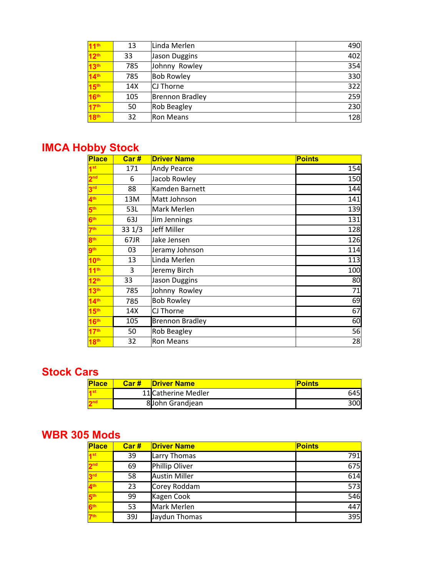| 11 <sup>th</sup> | 13  | Linda Merlen           | 490 |
|------------------|-----|------------------------|-----|
| 12 <sup>th</sup> | 33  | <b>Jason Duggins</b>   | 402 |
| 13 <sup>th</sup> | 785 | Johnny Rowley          | 354 |
| 14 <sup>th</sup> | 785 | <b>Bob Rowley</b>      | 330 |
| 15th             | 14X | CJ Thorne              | 322 |
| 16 <sup>th</sup> | 105 | <b>Brennon Bradley</b> | 259 |
| 17 <sup>th</sup> | 50  | <b>Rob Beagley</b>     | 230 |
| 18 <sup>th</sup> | 32  | Ron Means              | 128 |

#### **IMCA Hobby Stock**

| <b>Place</b>     | Car#  | <b>Driver Name</b>     | <b>Points</b> |
|------------------|-------|------------------------|---------------|
| 1 <sub>st</sub>  | 171   | <b>Andy Pearce</b>     | 154           |
| 2 <sup>nd</sup>  | 6     | Jacob Rowley           | 150           |
| 3 <sup>rd</sup>  | 88    | Kamden Barnett         | 144           |
| 4 <sup>th</sup>  | 13M   | Matt Johnson           | 141           |
| 5 <sup>th</sup>  | 53L   | Mark Merlen            | 139           |
| 6 <sup>th</sup>  | 63J   | Jim Jennings           | 131           |
| 7 <sup>th</sup>  | 331/3 | Jeff Miller            | 128           |
| 8 <sup>th</sup>  | 67JR  | Jake Jensen            | 126           |
| 9 <sup>th</sup>  | 03    | Jeramy Johnson         | 114           |
| 10 <sup>th</sup> | 13    | Linda Merlen           | 113           |
| 11 <sup>th</sup> | 3     | Jeremy Birch           | 100           |
| 12 <sup>th</sup> | 33    | Jason Duggins          | 80            |
| 13 <sup>th</sup> | 785   | Johnny Rowley          | 71            |
| 14 <sup>th</sup> | 785   | <b>Bob Rowley</b>      | 69            |
| 15 <sup>th</sup> | 14X   | CJ Thorne              | 67            |
| 16 <sup>th</sup> | 105   | <b>Brennon Bradley</b> | 60            |
| 17 <sup>th</sup> | 50    | Rob Beagley            | 56            |
| <b>18th</b>      | 32    | <b>Ron Means</b>       | 28            |

#### **Stock Cars**

| <b>Place</b> | Car# | <b>Driver Name</b>  | Points      |
|--------------|------|---------------------|-------------|
|              |      | 11 Catherine Medler | <b>6451</b> |
|              |      | 8John Grandjean     | 300l        |

### **WBR 305 Mods**

| <b>Place</b>    | Car# | <b>Driver Name</b>   | <b>Points</b> |
|-----------------|------|----------------------|---------------|
| 1 <sup>st</sup> | 39   | <b>Larry Thomas</b>  | 791           |
| 2 <sup>nd</sup> | 69   | Phillip Oliver       | 675           |
| 3rd             | 58   | <b>Austin Miller</b> | 614           |
| 4 <sup>th</sup> | 23   | Corey Roddam         | 573           |
| 5 <sup>th</sup> | 99   | Kagen Cook           | 546           |
| 6 <sup>th</sup> | 53   | Mark Merlen          | 447           |
| 7 <sup>th</sup> | 39J  | Jaydun Thomas        | 395           |